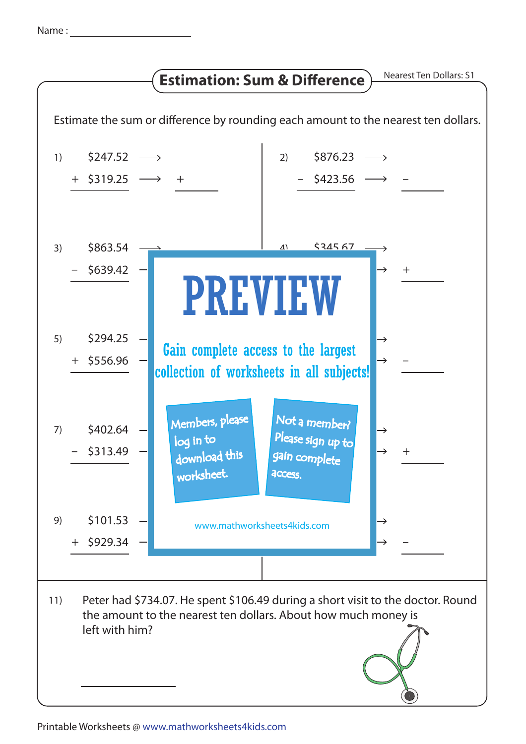